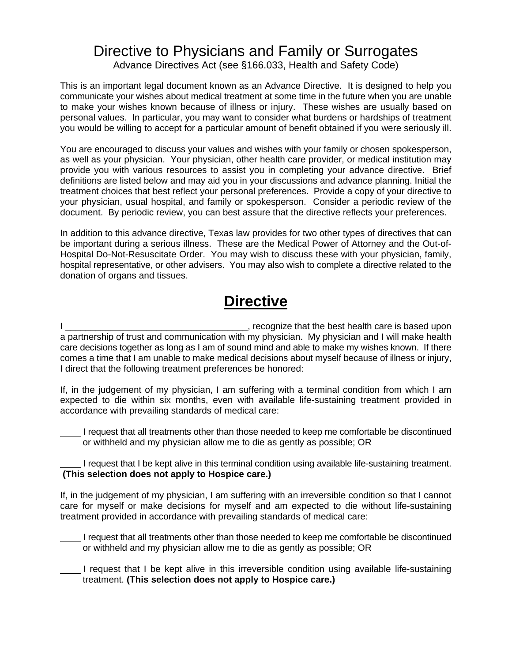## Directive to Physicians and Family or Surrogates

Advance Directives Act (see §166.033, Health and Safety Code)

This is an important legal document known as an Advance Directive. It is designed to help you communicate your wishes about medical treatment at some time in the future when you are unable to make your wishes known because of illness or injury. These wishes are usually based on personal values. In particular, you may want to consider what burdens or hardships of treatment you would be willing to accept for a particular amount of benefit obtained if you were seriously ill.

You are encouraged to discuss your values and wishes with your family or chosen spokesperson, as well as your physician. Your physician, other health care provider, or medical institution may provide you with various resources to assist you in completing your advance directive. Brief definitions are listed below and may aid you in your discussions and advance planning. Initial the treatment choices that best reflect your personal preferences. Provide a copy of your directive to your physician, usual hospital, and family or spokesperson. Consider a periodic review of the document. By periodic review, you can best assure that the directive reflects your preferences.

In addition to this advance directive, Texas law provides for two other types of directives that can be important during a serious illness. These are the Medical Power of Attorney and the Out-of-Hospital Do-Not-Resuscitate Order. You may wish to discuss these with your physician, family, hospital representative, or other advisers. You may also wish to complete a directive related to the donation of organs and tissues.

## **Directive**

I consider the state of the state of the state of the best health care is based upon a partnership of trust and communication with my physician. My physician and I will make health care decisions together as long as I am of sound mind and able to make my wishes known. If there comes a time that I am unable to make medical decisions about myself because of illness or injury, I direct that the following treatment preferences be honored:

If, in the judgement of my physician, I am suffering with a terminal condition from which I am expected to die within six months, even with available life-sustaining treatment provided in accordance with prevailing standards of medical care:

 I request that all treatments other than those needed to keep me comfortable be discontinued or withheld and my physician allow me to die as gently as possible; OR

 I request that I be kept alive in this terminal condition using available life-sustaining treatment. **(This selection does not apply to Hospice care.)**

If, in the judgement of my physician, I am suffering with an irreversible condition so that I cannot care for myself or make decisions for myself and am expected to die without life-sustaining treatment provided in accordance with prevailing standards of medical care:

 I request that all treatments other than those needed to keep me comfortable be discontinued or withheld and my physician allow me to die as gently as possible; OR

 I request that I be kept alive in this irreversible condition using available life-sustaining treatment. **(This selection does not apply to Hospice care.)**